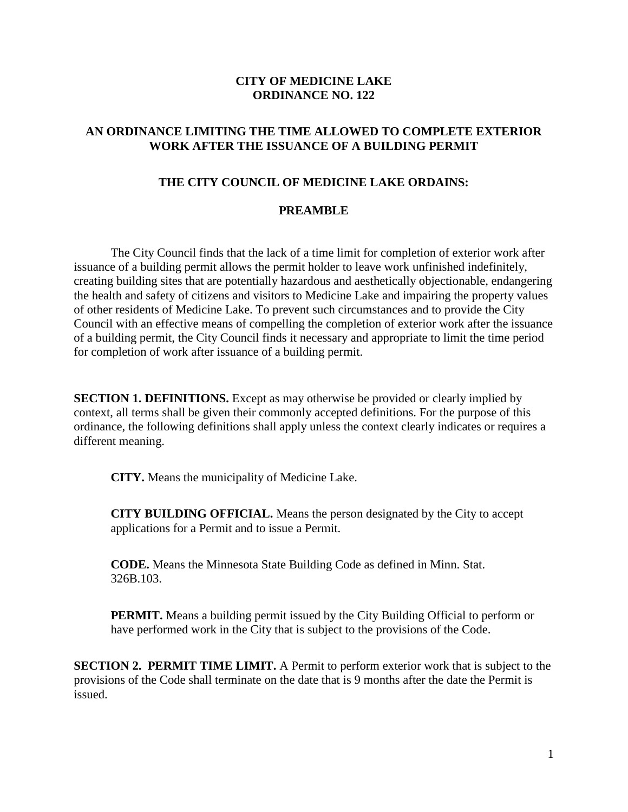## **CITY OF MEDICINE LAKE ORDINANCE NO. 122**

## **AN ORDINANCE LIMITING THE TIME ALLOWED TO COMPLETE EXTERIOR WORK AFTER THE ISSUANCE OF A BUILDING PERMIT**

## **THE CITY COUNCIL OF MEDICINE LAKE ORDAINS:**

## **PREAMBLE**

The City Council finds that the lack of a time limit for completion of exterior work after issuance of a building permit allows the permit holder to leave work unfinished indefinitely, creating building sites that are potentially hazardous and aesthetically objectionable, endangering the health and safety of citizens and visitors to Medicine Lake and impairing the property values of other residents of Medicine Lake. To prevent such circumstances and to provide the City Council with an effective means of compelling the completion of exterior work after the issuance of a building permit, the City Council finds it necessary and appropriate to limit the time period for completion of work after issuance of a building permit.

**SECTION 1. DEFINITIONS.** Except as may otherwise be provided or clearly implied by context, all terms shall be given their commonly accepted definitions. For the purpose of this ordinance, the following definitions shall apply unless the context clearly indicates or requires a different meaning.

**CITY.** Means the municipality of Medicine Lake.

**CITY BUILDING OFFICIAL.** Means the person designated by the City to accept applications for a Permit and to issue a Permit.

**CODE.** Means the Minnesota State Building Code as defined in Minn. Stat. 326B.103.

**PERMIT.** Means a building permit issued by the City Building Official to perform or have performed work in the City that is subject to the provisions of the Code.

**SECTION 2. PERMIT TIME LIMIT.** A Permit to perform exterior work that is subject to the provisions of the Code shall terminate on the date that is 9 months after the date the Permit is issued.